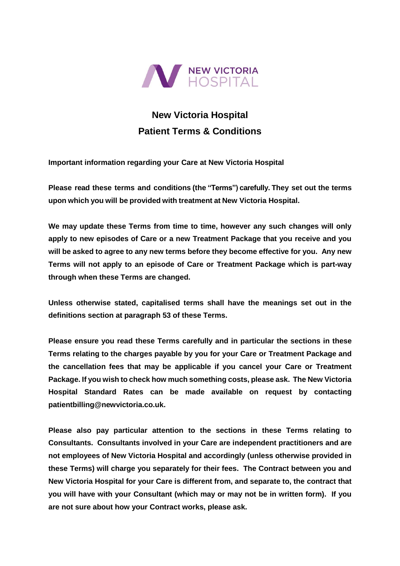

# **New Victoria Hospital Patient Terms & Conditions**

**Important information regarding your Care at New Victoria Hospital**

**Please read these terms and conditions (the "Terms") carefully. They set out the terms upon which you will be provided with treatment at New Victoria Hospital.**

**We may update these Terms from time to time, however any such changes will only apply to new episodes of Care or a new Treatment Package that you receive and you will be asked to agree to any new terms before they become effective for you. Any new Terms will not apply to an episode of Care or Treatment Package which is part-way through when these Terms are changed.** 

**Unless otherwise stated, capitalised terms shall have the meanings set out in the definitions section at paragraph [53](#page-12-0) of these Terms.**

**Please ensure you read these Terms carefully and in particular the sections in these Terms relating to the charges payable by you for your Care or Treatment Package and the cancellation fees that may be applicable if you cancel your Care or Treatment Package. If you wish to check how much something costs, please ask. The New Victoria Hospital Standard Rates can be made available on request by contacting patientbilling@newvictoria.co.uk.** 

**Please also pay particular attention to the sections in these Terms relating to Consultants. Consultants involved in your Care are independent practitioners and are not employees of New Victoria Hospital and accordingly (unless otherwise provided in these Terms) will charge you separately for their fees. The Contract between you and New Victoria Hospital for your Care is different from, and separate to, the contract that you will have with your Consultant (which may or may not be in written form). If you are not sure about how your Contract works, please ask.**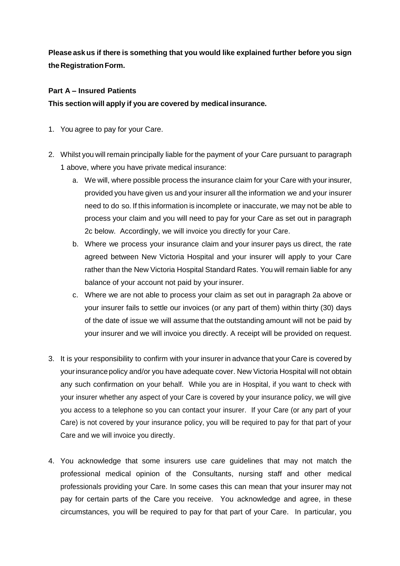**Please askus if there is something that you would like explained further before you sign theRegistrationForm.**

# **Part A – Insured Patients**

**This section will apply if you are covered by medical insurance.**

- <span id="page-1-0"></span>1. You agree to pay for your Care.
- <span id="page-1-1"></span>2. Whilst you will remain principally liable for the payment of your Care pursuant to paragraph [1](#page-1-0) above, where you have private medical insurance:
	- a. We will, where possible process the insurance claim for your Care with your insurer, provided you have given us and your insurer all the information we and your insurer need to do so. If this information is incomplete or inaccurate, we may not be able to process your claim and you will need to pay for your Care as set out in paragraph [2c](#page-1-1) below. Accordingly, we will invoice you directly for your Care.
	- b. Where we process your insurance claim and your insurer pays us direct, the rate agreed between New Victoria Hospital and your insurer will apply to your Care rather than the New Victoria Hospital Standard Rates. You will remain liable for any balance of your account not paid by your insurer.
	- c. Where we are not able to process your claim as set out in paragraph [2a](#page-1-1) above or your insurer fails to settle our invoices (or any part of them) within thirty (30) days of the date of issue we will assume that the outstanding amount will not be paid by your insurer and we will invoice you directly. A receipt will be provided on request.
- 3. It is your responsibility to confirm with your insurer in advance that your Care is covered by your insurance policy and/or you have adequate cover. New Victoria Hospital will not obtain any such confirmation on your behalf. While you are in Hospital, if you want to check with your insurer whether any aspect of your Care is covered by your insurance policy, we will give you access to a telephone so you can contact your insurer. If your Care (or any part of your Care) is not covered by your insurance policy, you will be required to pay for that part of your Care and we will invoice you directly.
- 4. You acknowledge that some insurers use care guidelines that may not match the professional medical opinion of the Consultants, nursing staff and other medical professionals providing your Care. In some cases this can mean that your insurer may not pay for certain parts of the Care you receive. You acknowledge and agree, in these circumstances, you will be required to pay for that part of your Care. In particular, you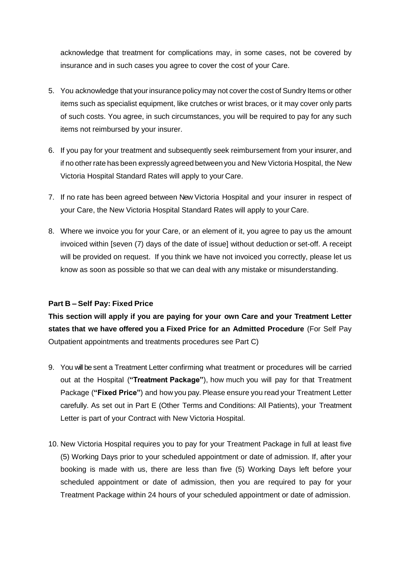acknowledge that treatment for complications may, in some cases, not be covered by insurance and in such cases you agree to cover the cost of your Care.

- 5. You acknowledge that yourinsurance policy may not cover the cost of Sundry Items or other items such as specialist equipment, like crutches or wrist braces, or it may cover only parts of such costs. You agree, in such circumstances, you will be required to pay for any such items not reimbursed by your insurer.
- 6. If you pay for your treatment and subsequently seek reimbursement from your insurer, and if no other rate has been expressly agreed between you and New Victoria Hospital, the New Victoria Hospital Standard Rates will apply to your Care.
- 7. If no rate has been agreed between New Victoria Hospital and your insurer in respect of your Care, the New Victoria Hospital Standard Rates will apply to your Care.
- 8. Where we invoice you for your Care, or an element of it, you agree to pay us the amount invoiced within [seven (7) days of the date of issue] without deduction or set-off. A receipt will be provided on request. If you think we have not invoiced you correctly, please let us know as soon as possible so that we can deal with any mistake or misunderstanding.

# **Part B – Self Pay: Fixed Price**

**This section will apply if you are paying for your own Care and your Treatment Letter states that we have offered you a Fixed Price for an Admitted Procedure** (For Self Pay Outpatient appointments and treatments procedures see Part C)

- <span id="page-2-0"></span>9. You will be sent a Treatment Letter confirming what treatment or procedures will be carried out at the Hospital (**"Treatment Package"**), how much you will pay for that Treatment Package (**"Fixed Price"**) and how you pay. Please ensure you read your Treatment Letter carefully. As set out in Part E (Other Terms and Conditions: All Patients), your Treatment Letter is part of your Contract with New Victoria Hospital.
- 10. New Victoria Hospital requires you to pay for your Treatment Package in full at least five (5) Working Days prior to your scheduled appointment or date of admission. If, after your booking is made with us, there are less than five (5) Working Days left before your scheduled appointment or date of admission, then you are required to pay for your Treatment Package within 24 hours of your scheduled appointment or date of admission.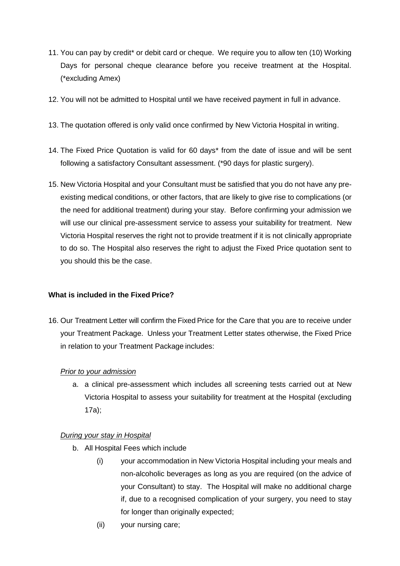- 11. You can pay by credit\* or debit card or cheque. We require you to allow ten (10) Working Days for personal cheque clearance before you receive treatment at the Hospital. (\*excluding Amex)
- 12. You will not be admitted to Hospital until we have received payment in full in advance.
- 13. The quotation offered is only valid once confirmed by New Victoria Hospital in writing.
- 14. The Fixed Price Quotation is valid for 60 days\* from the date of issue and will be sent following a satisfactory Consultant assessment. (\*90 days for plastic surgery).
- 15. New Victoria Hospital and your Consultant must be satisfied that you do not have any preexisting medical conditions, or other factors, that are likely to give rise to complications (or the need for additional treatment) during your stay. Before confirming your admission we will use our clinical pre-assessment service to assess your suitability for treatment. New Victoria Hospital reserves the right not to provide treatment if it is not clinically appropriate to do so. The Hospital also reserves the right to adjust the Fixed Price quotation sent to you should this be the case.

### **What is included in the Fixed Price?**

<span id="page-3-0"></span>16. Our Treatment Letter will confirm the Fixed Price for the Care that you are to receive under your Treatment Package. Unless your Treatment Letter states otherwise, the Fixed Price in relation to your Treatment Package includes:

### *Prior to your admission*

a. a clinical pre-assessment which includes all screening tests carried out at New Victoria Hospital to assess your suitability for treatment at the Hospital (excluding 17a);

### *During your stay in Hospital*

- b. All Hospital Fees which include
	- (i) your accommodation in New Victoria Hospital including your meals and non-alcoholic beverages as long as you are required (on the advice of your Consultant) to stay. The Hospital will make no additional charge if, due to a recognised complication of your surgery, you need to stay for longer than originally expected;
	- (ii) your nursing care;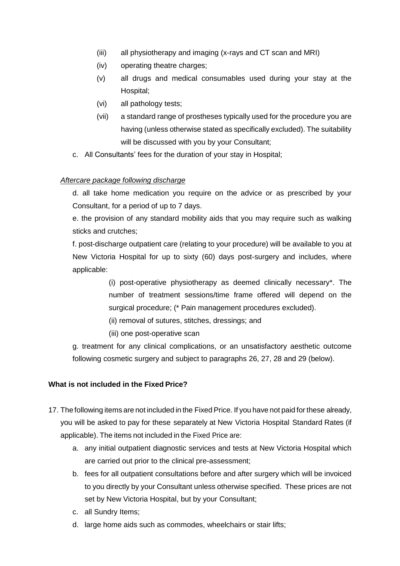- (iii) all physiotherapy and imaging (x-rays and CT scan and MRI)
- (iv) operating theatre charges;
- (v) all drugs and medical consumables used during your stay at the Hospital;
- (vi) all pathology tests;
- (vii) a standard range of prostheses typically used for the procedure you are having (unless otherwise stated as specifically excluded). The suitability will be discussed with you by your Consultant;
- c. All Consultants' fees for the duration of your stay in Hospital;

#### *Aftercare package following discharge*

d. all take home medication you require on the advice or as prescribed by your Consultant, for a period of up to 7 days.

e. the provision of any standard mobility aids that you may require such as walking sticks and crutches;

f. post-discharge outpatient care (relating to your procedure) will be available to you at New Victoria Hospital for up to sixty (60) days post-surgery and includes, where applicable:

> (i) post-operative physiotherapy as deemed clinically necessary\*. The number of treatment sessions/time frame offered will depend on the surgical procedure; (\* Pain management procedures excluded).

(ii) removal of sutures, stitches, dressings; and

(iii) one post-operative scan

g. treatment for any clinical complications, or an unsatisfactory aesthetic outcome following cosmetic surgery and subject to paragraphs [26,](#page-7-0) [27,](#page-7-1) [28](#page-7-2) and [29](#page-7-3) (below).

### **What is not included in the Fixed Price?**

- 17. The following items are not included in the Fixed Price. If you have not paid for these already, you will be asked to pay for these separately at New Victoria Hospital Standard Rates (if applicable). The items not included in the Fixed Price are:
	- a. any initial outpatient diagnostic services and tests at New Victoria Hospital which are carried out prior to the clinical pre-assessment;
	- b. fees for all outpatient consultations before and after surgery which will be invoiced to you directly by your Consultant unless otherwise specified. These prices are not set by New Victoria Hospital, but by your Consultant;
	- c. all Sundry Items;
	- d. large home aids such as commodes, wheelchairs or stair lifts;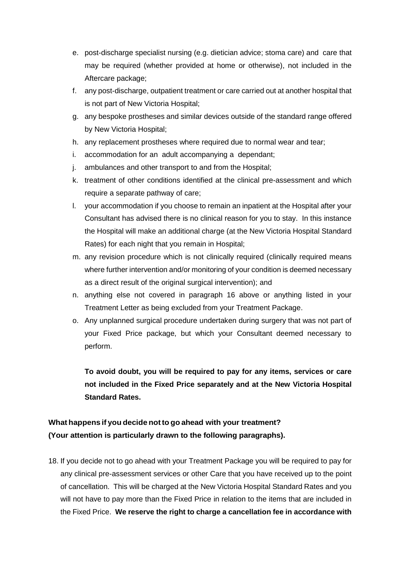- e. post-discharge specialist nursing (e.g. dietician advice; stoma care) and care that may be required (whether provided at home or otherwise), not included in the Aftercare package;
- f. any post-discharge, outpatient treatment or care carried out at another hospital that is not part of New Victoria Hospital;
- g. any bespoke prostheses and similar devices outside of the standard range offered by New Victoria Hospital;
- h. any replacement prostheses where required due to normal wear and tear;
- i. accommodation for an adult accompanying a dependant;
- j. ambulances and other transport to and from the Hospital;
- k. treatment of other conditions identified at the clinical pre-assessment and which require a separate pathway of care;
- l. your accommodation if you choose to remain an inpatient at the Hospital after your Consultant has advised there is no clinical reason for you to stay. In this instance the Hospital will make an additional charge (at the New Victoria Hospital Standard Rates) for each night that you remain in Hospital;
- m. any revision procedure which is not clinically required (clinically required means where further intervention and/or monitoring of your condition is deemed necessary as a direct result of the original surgical intervention); and
- n. anything else not covered in paragraph [16](#page-3-0) above or anything listed in your Treatment Letter as being excluded from your Treatment Package.
- o. Any unplanned surgical procedure undertaken during surgery that was not part of your Fixed Price package, but which your Consultant deemed necessary to perform.

**To avoid doubt, you will be required to pay for any items, services or care not included in the Fixed Price separately and at the New Victoria Hospital Standard Rates.**

# **What happens if you decide notto go ahead with your treatment? (Your attention is particularly drawn to the following paragraphs).**

18. If you decide not to go ahead with your Treatment Package you will be required to pay for any clinical pre-assessment services or other Care that you have received up to the point of cancellation. This will be charged at the New Victoria Hospital Standard Rates and you will not have to pay more than the Fixed Price in relation to the items that are included in the Fixed Price. **We reserve the right to charge a cancellation fee in accordance with**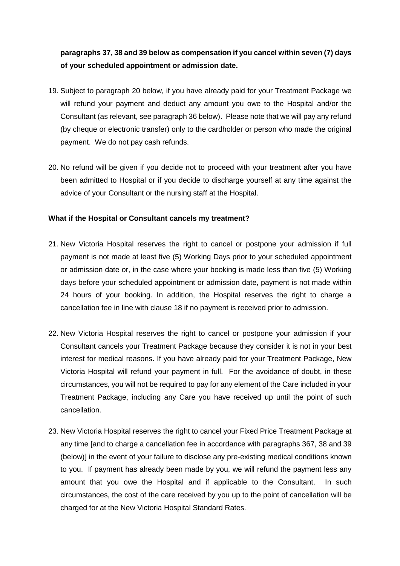# **paragraphs 37, 38 and 39 below as compensation if you cancel within seven (7) days of your scheduled appointment or admission date.**

- 19. Subject to paragraph [20](#page-6-0) below, if you have already paid for your Treatment Package we will refund your payment and deduct any amount you owe to the Hospital and/or the Consultant (as relevant, see paragraph 36 below). Please note that we will pay any refund (by cheque or electronic transfer) only to the cardholder or person who made the original payment. We do not pay cash refunds.
- <span id="page-6-0"></span>20. No refund will be given if you decide not to proceed with your treatment after you have been admitted to Hospital or if you decide to discharge yourself at any time against the advice of your Consultant or the nursing staff at the Hospital.

### **What if the Hospital or Consultant cancels my treatment?**

- 21. New Victoria Hospital reserves the right to cancel or postpone your admission if full payment is not made at least five (5) Working Days prior to your scheduled appointment or admission date or, in the case where your booking is made less than five (5) Working days before your scheduled appointment or admission date, payment is not made within 24 hours of your booking. In addition, the Hospital reserves the right to charge a cancellation fee in line with clause 18 if no payment is received prior to admission.
- 22. New Victoria Hospital reserves the right to cancel or postpone your admission if your Consultant cancels your Treatment Package because they consider it is not in your best interest for medical reasons. If you have already paid for your Treatment Package, New Victoria Hospital will refund your payment in full. For the avoidance of doubt, in these circumstances, you will not be required to pay for any element of the Care included in your Treatment Package, including any Care you have received up until the point of such cancellation.
- 23. New Victoria Hospital reserves the right to cancel your Fixed Price Treatment Package at any time [and to charge a cancellation fee in accordance with paragraphs [367](#page-9-0), 38 and 39 (below)] in the event of your failure to disclose any pre-existing medical conditions known to you. If payment has already been made by you, we will refund the payment less any amount that you owe the Hospital and if applicable to the Consultant. In such circumstances, the cost of the care received by you up to the point of cancellation will be charged for at the New Victoria Hospital Standard Rates.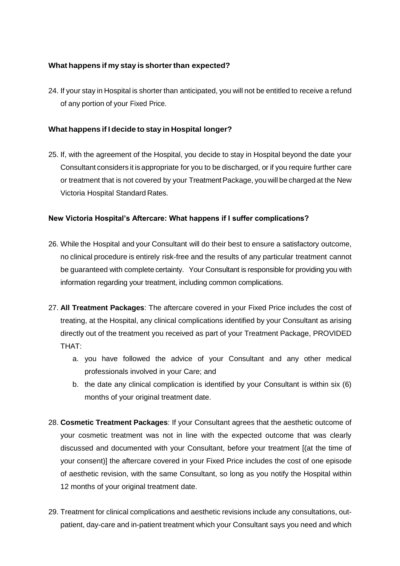# **What happens if my stay is shorterthan expected?**

24. If your stay in Hospital is shorter than anticipated, you will not be entitled to receive a refund of any portion of your Fixed Price.

# **What happens if I decide to stay in Hospital longer?**

25. If, with the agreement of the Hospital, you decide to stay in Hospital beyond the date your Consultant considers it is appropriate for you to be discharged, or if you require further care or treatment that is not covered by your TreatmentPackage, you will be charged at the New Victoria Hospital Standard Rates.

# **New Victoria Hospital's Aftercare: What happens if I suffer complications?**

- <span id="page-7-0"></span>26. While the Hospital and your Consultant will do their best to ensure a satisfactory outcome, no clinical procedure is entirely risk-free and the results of any particular treatment cannot be guaranteed with complete certainty. Your Consultant is responsible for providing you with information regarding your treatment, including common complications.
- <span id="page-7-1"></span>27. **All Treatment Packages**: The aftercare covered in your Fixed Price includes the cost of treating, at the Hospital, any clinical complications identified by your Consultant as arising directly out of the treatment you received as part of your Treatment Package, PROVIDED THAT:
	- a. you have followed the advice of your Consultant and any other medical professionals involved in your Care; and
	- b. the date any clinical complication is identified by your Consultant is within six (6) months of your original treatment date.
- <span id="page-7-2"></span>28. **Cosmetic Treatment Packages**: If your Consultant agrees that the aesthetic outcome of your cosmetic treatment was not in line with the expected outcome that was clearly discussed and documented with your Consultant, before your treatment [(at the time of your consent)] the aftercare covered in your Fixed Price includes the cost of one episode of aesthetic revision, with the same Consultant, so long as you notify the Hospital within 12 months of your original treatment date.
- <span id="page-7-3"></span>29. Treatment for clinical complications and aesthetic revisions include any consultations, outpatient, day-care and in-patient treatment which your Consultant says you need and which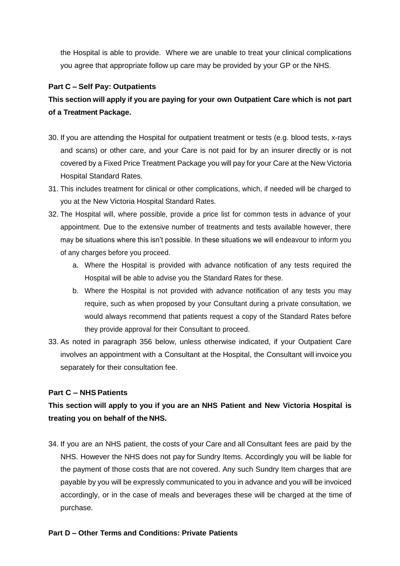the Hospital is able to provide. Where we are unable to treat your clinical complications you agree that appropriate follow up care may be provided by your GP or the NHS.

## **Part C – Self Pay: Outpatients**

# **This section will apply if you are paying for your own Outpatient Care which is not part of a Treatment Package.**

- 30. If you are attending the Hospital for outpatient treatment or tests (e.g. blood tests, x-rays and scans) or other care, and your Care is not paid for by an insurer directly or is not covered by a Fixed Price Treatment Package you will pay for your Care at the New Victoria Hospital Standard Rates.
- 31. This includes treatment for clinical or other complications, which, if needed will be charged to you at the New Victoria Hospital Standard Rates.
- 32. The Hospital will, where possible, provide a price list for common tests in advance of your appointment. Due to the extensive number of treatments and tests available however, there may be situations where this isn't possible. In these situations we will endeavour to inform you of any charges before you proceed.
	- a. Where the Hospital is provided with advance notification of any tests required the Hospital will be able to advise you the Standard Rates for these.
	- b. Where the Hospital is not provided with advance notification of any tests you may require, such as when proposed by your Consultant during a private consultation, we would always recommend that patients request a copy of the Standard Rates before they provide approval for their Consultant to proceed.
- 33. As noted in paragraph [356](#page-9-1) below, unless otherwise indicated, if your Outpatient Care involves an appointment with a Consultant at the Hospital, the Consultant will invoice you separately for their consultation fee.

### **Part C – NHS Patients**

# **This section will apply to you if you are an NHS Patient and New Victoria Hospital is treating you on behalf of the NHS.**

34. If you are an NHS patient, the costs of your Care and all Consultant fees are paid by the NHS. However the NHS does not pay for Sundry Items. Accordingly you will be liable for the payment of those costs that are not covered. Any such Sundry Item charges that are payable by you will be expressly communicated to you in advance and you will be invoiced accordingly, or in the case of meals and beverages these will be charged at the time of purchase.

### **Part D – Other Terms and Conditions: Private Patients**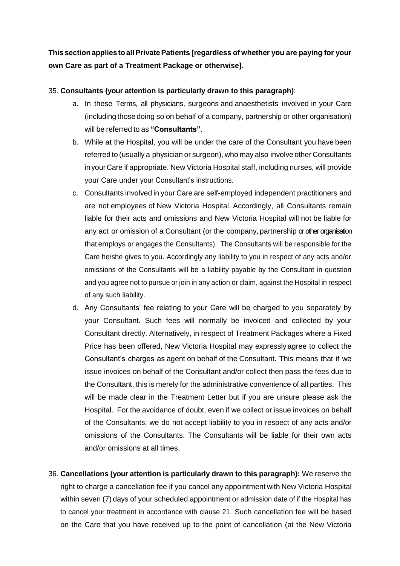**This sectionapplies toallPrivatePatients [regardless of whether you are paying for your own Care as part of a Treatment Package or otherwise].**

## <span id="page-9-1"></span>35. **Consultants (your attention is particularly drawn to this paragraph)**:

- a. In these Terms, all physicians, surgeons and anaesthetists involved in your Care (including those doing so on behalf of a company, partnership or other organisation) will be referred to as **"Consultants"**.
- b. While at the Hospital, you will be under the care of the Consultant you have been referred to (usually a physician or surgeon), who may also involve other Consultants inyourCare if appropriate. New Victoria Hospital staff, including nurses, will provide your Care under your Consultant's instructions.
- c. Consultants involved in your Care are self-employed independent practitioners and are not employees of New Victoria Hospital. Accordingly, all Consultants remain liable for their acts and omissions and New Victoria Hospital will not be liable for any act or omission of a Consultant (or the company, partnership or other organisation that employs or engages the Consultants). The Consultants will be responsible for the Care he/she gives to you. Accordingly any liability to you in respect of any acts and/or omissions of the Consultants will be a liability payable by the Consultant in question and you agree not to pursue or join in any action or claim, against the Hospital in respect of any such liability.
- d. Any Consultants' fee relating to your Care will be charged to you separately by your Consultant. Such fees will normally be invoiced and collected by your Consultant directly. Alternatively, in respect of Treatment Packages where a Fixed Price has been offered, New Victoria Hospital may expressly agree to collect the Consultant's charges as agent on behalf of the Consultant. This means that if we issue invoices on behalf of the Consultant and/or collect then pass the fees due to the Consultant, this is merely for the administrative convenience of all parties. This will be made clear in the Treatment Letter but if you are unsure please ask the Hospital. For the avoidance of doubt, even if we collect or issue invoices on behalf of the Consultants, we do not accept liability to you in respect of any acts and/or omissions of the Consultants. The Consultants will be liable for their own acts and/or omissions at all times.
- <span id="page-9-0"></span>36. **Cancellations (your attention is particularly drawn to this paragraph):** We reserve the right to charge a cancellation fee if you cancel any appointment with New Victoria Hospital within seven (7) days of your scheduled appointment or admission date of if the Hospital has to cancel your treatment in accordance with clause 21. Such cancellation fee will be based on the Care that you have received up to the point of cancellation (at the New Victoria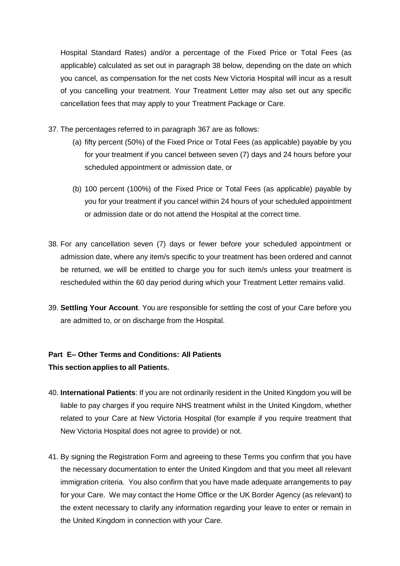Hospital Standard Rates) and/or a percentage of the Fixed Price or Total Fees (as applicable) calculated as set out in paragraph 38 below, depending on the date on which you cancel, as compensation for the net costs New Victoria Hospital will incur as a result of you cancelling your treatment. Your Treatment Letter may also set out any specific cancellation fees that may apply to your Treatment Package or Care.

- 37. The percentages referred to in paragraph [367](#page-9-0) are as follows:
	- (a) fifty percent (50%) of the Fixed Price or Total Fees (as applicable) payable by you for your treatment if you cancel between seven (7) days and 24 hours before your scheduled appointment or admission date, or
	- (b) 100 percent (100%) of the Fixed Price or Total Fees (as applicable) payable by you for your treatment if you cancel within 24 hours of your scheduled appointment or admission date or do not attend the Hospital at the correct time.
- 38. For any cancellation seven (7) days or fewer before your scheduled appointment or admission date, where any item/s specific to your treatment has been ordered and cannot be returned, we will be entitled to charge you for such item/s unless your treatment is rescheduled within the 60 day period during which your Treatment Letter remains valid.
- 39. **Settling Your Account**. You are responsible for settling the cost of your Care before you are admitted to, or on discharge from the Hospital.

# **Part E– Other Terms and Conditions: All Patients This section applies to all Patients.**

- 40. **International Patients**: If you are not ordinarily resident in the United Kingdom you will be liable to pay charges if you require NHS treatment whilst in the United Kingdom, whether related to your Care at New Victoria Hospital (for example if you require treatment that New Victoria Hospital does not agree to provide) or not.
- 41. By signing the Registration Form and agreeing to these Terms you confirm that you have the necessary documentation to enter the United Kingdom and that you meet all relevant immigration criteria. You also confirm that you have made adequate arrangements to pay for your Care. We may contact the Home Office or the UK Border Agency (as relevant) to the extent necessary to clarify any information regarding your leave to enter or remain in the United Kingdom in connection with your Care.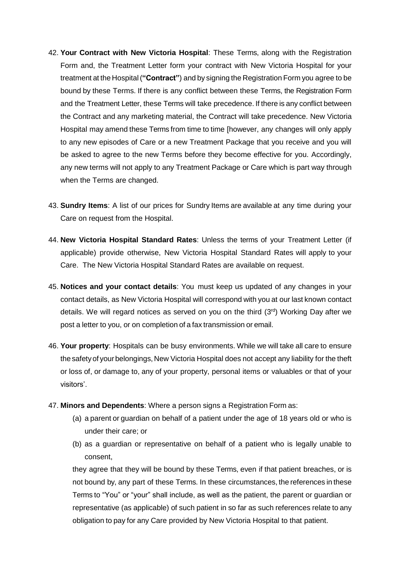- 42. **Your Contract with New Victoria Hospital**: These Terms, along with the Registration Form and, the Treatment Letter form your contract with New Victoria Hospital for your treatment at the Hospital (**"Contract"**) and by signing the Registration Form you agree to be bound by these Terms. If there is any conflict between these Terms, the Registration Form and the Treatment Letter, these Terms will take precedence. If there is any conflict between the Contract and any marketing material, the Contract will take precedence. New Victoria Hospital may amend these Terms from time to time [however, any changes will only apply to any new episodes of Care or a new Treatment Package that you receive and you will be asked to agree to the new Terms before they become effective for you. Accordingly, any new terms will not apply to any Treatment Package or Care which is part way through when the Terms are changed.
- 43. **Sundry Items**: A list of our prices for Sundry Items are available at any time during your Care on request from the Hospital.
- 44. **New Victoria Hospital Standard Rates**: Unless the terms of your Treatment Letter (if applicable) provide otherwise, New Victoria Hospital Standard Rates will apply to your Care. The New Victoria Hospital Standard Rates are available on request.
- 45. **Notices and your contact details**: You must keep us updated of any changes in your contact details, as New Victoria Hospital will correspond with you at our last known contact details. We will regard notices as served on you on the third  $(3<sup>rd</sup>)$  Working Day after we post a letter to you, or on completion of a fax transmission or email.
- 46. **Your property**: Hospitals can be busy environments. While we will take all care to ensure thesafety of yourbelongings, New Victoria Hospital does not accept any liability for the theft or loss of, or damage to, any of your property, personal items or valuables or that of your visitors'.
- 47. **Minors and Dependents**: Where a person signs a Registration Form as:
	- (a) a parent or guardian on behalf of a patient under the age of 18 years old or who is under their care; or
	- (b) as a guardian or representative on behalf of a patient who is legally unable to consent,

they agree that they will be bound by these Terms, even if that patient breaches, or is not bound by, any part of these Terms. In these circumstances, the references in these Terms to "You" or "your" shall include, as well as the patient, the parent or guardian or representative (as applicable) of such patient in so far as such references relate to any obligation to pay for any Care provided by New Victoria Hospital to that patient.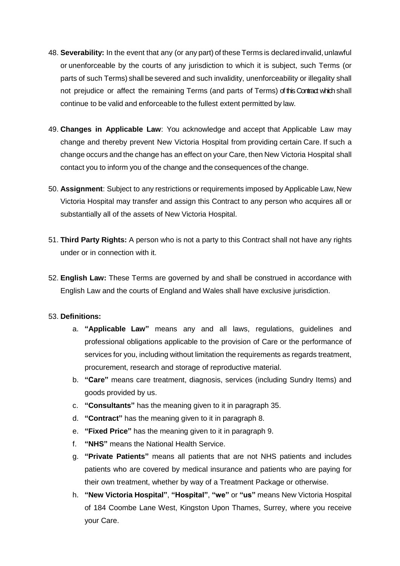- 48. **Severability:** In the event that any (or any part) of these Terms is declaredinvalid,unlawful or unenforceable by the courts of any jurisdiction to which it is subject, such Terms (or parts of such Terms) shall be severed and such invalidity, unenforceability or illegality shall not prejudice or affect the remaining Terms (and parts of Terms) of this Contract which shall continue to be valid and enforceable to the fullest extent permitted by law.
- 49. **Changes in Applicable Law**: You acknowledge and accept that Applicable Law may change and thereby prevent New Victoria Hospital from providing certain Care. If such a change occurs and the change has an effect on your Care, then New Victoria Hospital shall contact you to inform you of the change and the consequences of the change.
- 50. **Assignment**: Subject to any restrictions or requirements imposed by Applicable Law, New Victoria Hospital may transfer and assign this Contract to any person who acquires all or substantially all of the assets of New Victoria Hospital.
- 51. **Third Party Rights:** A person who is not a party to this Contract shall not have any rights under or in connection with it.
- 52. **English Law:** These Terms are governed by and shall be construed in accordance with English Law and the courts of England and Wales shall have exclusive jurisdiction.

### <span id="page-12-0"></span>53. **Definitions:**

- a. **"Applicable Law"** means any and all laws, regulations, guidelines and professional obligations applicable to the provision of Care or the performance of services for you, including without limitation the requirements as regards treatment, procurement, research and storage of reproductive material.
- b. **"Care"** means care treatment, diagnosis, services (including Sundry Items) and goods provided by us.
- c. **"Consultants"** has the meaning given to it in paragraph [35.](#page-9-1)
- d. **"Contract"** has the meaning given to it in paragraph 8.
- e. **"Fixed Price"** has the meaning given to it in paragraph [9.](#page-2-0)
- f. **"NHS"** means the National Health Service.
- g. **"Private Patients"** means all patients that are not NHS patients and includes patients who are covered by medical insurance and patients who are paying for their own treatment, whether by way of a Treatment Package or otherwise.
- h. **"New Victoria Hospital"**, **"Hospital"**, **"we"** or **"us"** means New Victoria Hospital of 184 Coombe Lane West, Kingston Upon Thames, Surrey, where you receive your Care.